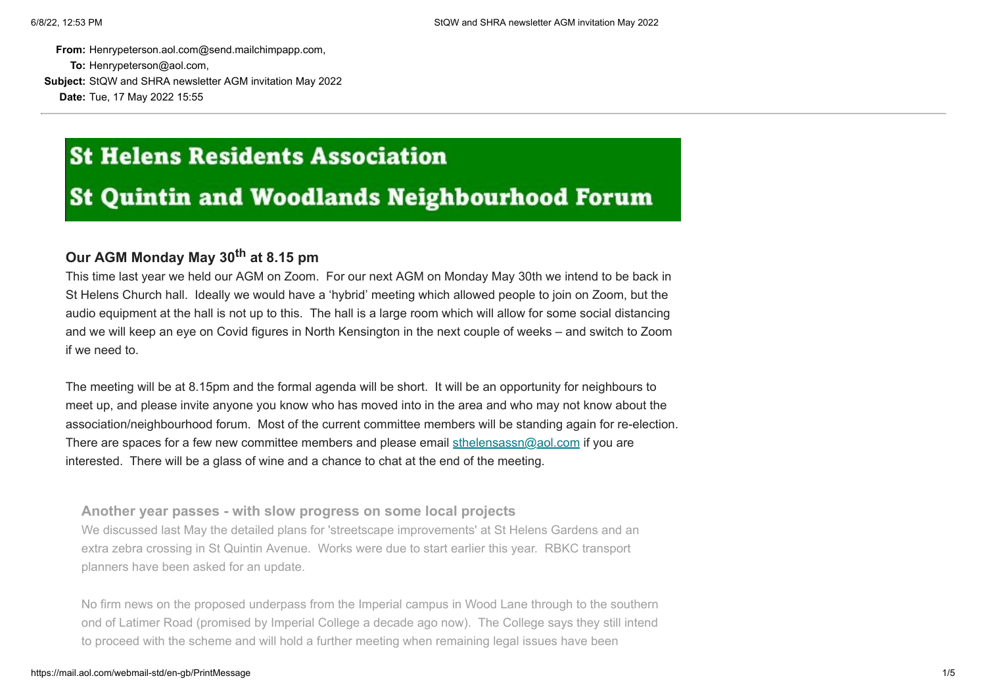**From:** Henrypeterson.aol.com@send.mailchimpapp.com,

**To:** Henrypeterson@aol.com,

**Subject:** StQW and SHRA newsletter AGM invitation May 2022 **Date:** Tue, 17 May 2022 15:55

# **St Helens Residents Association**

# **St Quintin and Woodlands Neighbourhood Forum**

# **Our AGM Monday May 30th at 8.15 pm**

This time last year we held our AGM on Zoom. For our next AGM on Monday May 30th we intend to be back in St Helens Church hall. Ideally we would have a 'hybrid' meeting which allowed people to join on Zoom, but the audio equipment at the hall is not up to this. The hall is a large room which will allow for some social distancing and we will keep an eye on Covid figures in North Kensington in the next couple of weeks – and switch to Zoom if we need to.

The meeting will be at 8.15pm and the formal agenda will be short. It will be an opportunity for neighbours to meet up, and please invite anyone you know who has moved into in the area and who may not know about the association/neighbourhood forum. Most of the current committee members will be standing again for re-election. There are spaces for a few new committee members and please email [sthelensassn@aol.com](mailto:sthelensassn@aol.com) if you are interested. There will be a glass of wine and a chance to chat at the end of the meeting.

**Another year passes - with slow progress on some local projects** We discussed last May the detailed plans for 'streetscape improvements' at St Helens Gardens and an extra zebra crossing in St Quintin Avenue. Works were due to start earlier this year. RBKC transport planners have been asked for an update.

No firm news on the proposed underpass from the Imperial campus in Wood Lane through to the southern ond of Latimer Road (promised by Imperial College a decade ago now). The College says they still intend to proceed with the scheme and will hold a further meeting when remaining legal issues have been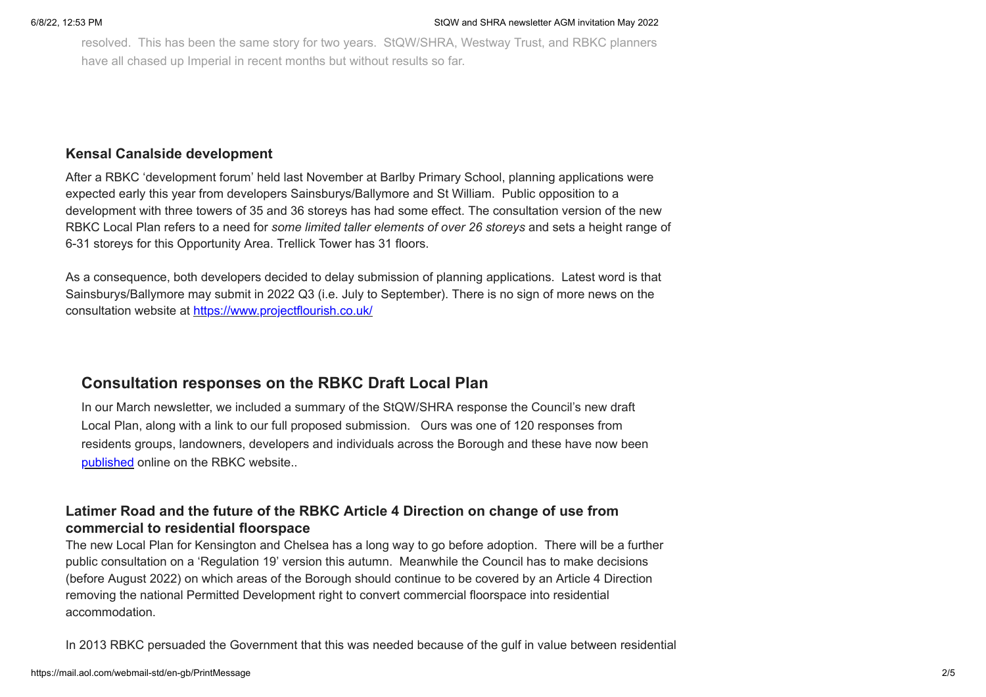resolved. This has been the same story for two years. StQW/SHRA, Westway Trust, and RBKC planners have all chased up Imperial in recent months but without results so far.

### **Kensal Canalside development**

After a RBKC 'development forum' held last November at Barlby Primary School, planning applications were expected early this year from developers Sainsburys/Ballymore and St William. Public opposition to a development with three towers of 35 and 36 storeys has had some effect. The consultation version of the new RBKC Local Plan refers to a need for *some limited taller elements of over 26 storeys* and sets a height range of 6-31 storeys for this Opportunity Area. Trellick Tower has 31 floors.

As a consequence, both developers decided to delay submission of planning applications. Latest word is that Sainsburys/Ballymore may submit in 2022 Q3 (i.e. July to September). There is no sign of more news on the consultation website at [https://www.projectflourish.co.uk/](https://sthelensresidents.us8.list-manage.com/track/click?u=c9b2cf8a83a98f3a41a3651c9&id=66a841c344&e=e04a104173)

# **Consultation responses on the RBKC Draft Local Plan**

In our March newsletter, we included a summary of the StQW/SHRA response the Council's new draft Local Plan, along with a link to our full proposed submission. Ours was one of 120 responses from residents groups, landowners, developers and individuals across the Borough and these have now been [published](https://sthelensresidents.us8.list-manage.com/track/click?u=c9b2cf8a83a98f3a41a3651c9&id=cbd0d90d5e&e=e04a104173) online on the RBKC website..

# **Latimer Road and the future of the RBKC Article 4 Direction on change of use from commercial to residential floorspace**

The new Local Plan for Kensington and Chelsea has a long way to go before adoption. There will be a further public consultation on a 'Regulation 19' version this autumn. Meanwhile the Council has to make decisions (before August 2022) on which areas of the Borough should continue to be covered by an Article 4 Direction removing the national Permitted Development right to convert commercial floorspace into residential accommodation.

In 2013 RBKC persuaded the Government that this was needed because of the gulf in value between residential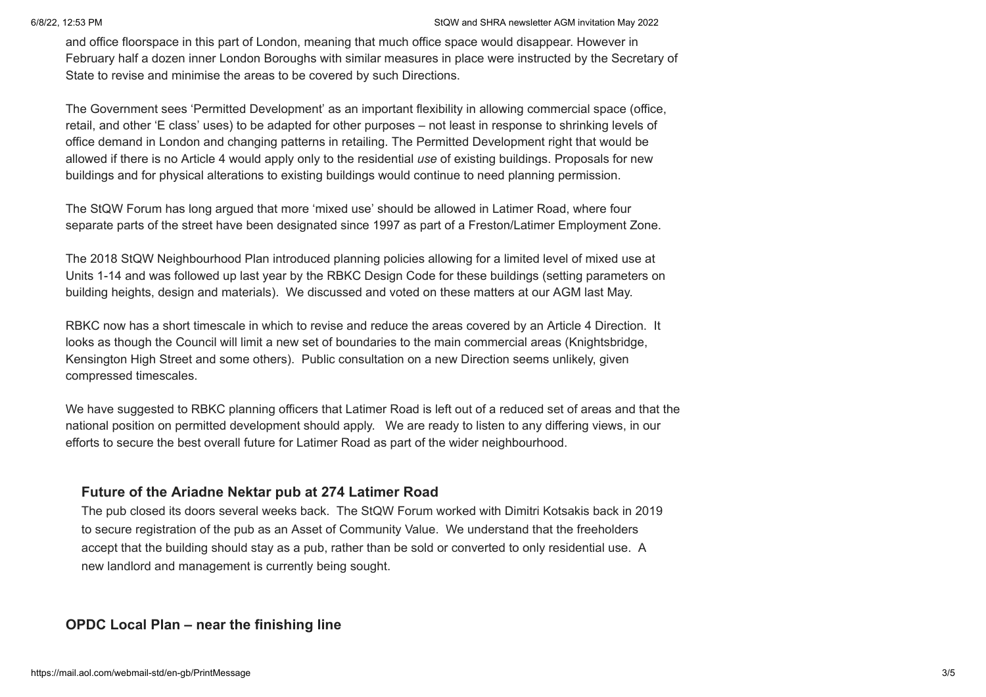#### 6/8/22, 12:53 PM StQW and SHRA newsletter AGM invitation May 2022

and office floorspace in this part of London, meaning that much office space would disappear. However in February half a dozen inner London Boroughs with similar measures in place were instructed by the Secretary of State to revise and minimise the areas to be covered by such Directions.

The Government sees 'Permitted Development' as an important flexibility in allowing commercial space (office, retail, and other 'E class' uses) to be adapted for other purposes – not least in response to shrinking levels of office demand in London and changing patterns in retailing. The Permitted Development right that would be allowed if there is no Article 4 would apply only to the residential *use* of existing buildings. Proposals for new buildings and for physical alterations to existing buildings would continue to need planning permission.

The StQW Forum has long argued that more 'mixed use' should be allowed in Latimer Road, where four separate parts of the street have been designated since 1997 as part of a Freston/Latimer Employment Zone.

The 2018 StQW Neighbourhood Plan introduced planning policies allowing for a limited level of mixed use at Units 1-14 and was followed up last year by the RBKC Design Code for these buildings (setting parameters on building heights, design and materials). We discussed and voted on these matters at our AGM last May.

RBKC now has a short timescale in which to revise and reduce the areas covered by an Article 4 Direction. It looks as though the Council will limit a new set of boundaries to the main commercial areas (Knightsbridge, Kensington High Street and some others). Public consultation on a new Direction seems unlikely, given compressed timescales.

We have suggested to RBKC planning officers that Latimer Road is left out of a reduced set of areas and that the national position on permitted development should apply. We are ready to listen to any differing views, in our efforts to secure the best overall future for Latimer Road as part of the wider neighbourhood.

## **Future of the Ariadne Nektar pub at 274 Latimer Road**

The pub closed its doors several weeks back. The StQW Forum worked with Dimitri Kotsakis back in 2019 to secure registration of the pub as an Asset of Community Value. We understand that the freeholders accept that the building should stay as a pub, rather than be sold or converted to only residential use. A new landlord and management is currently being sought.

## **OPDC Local Plan – near the finishing line**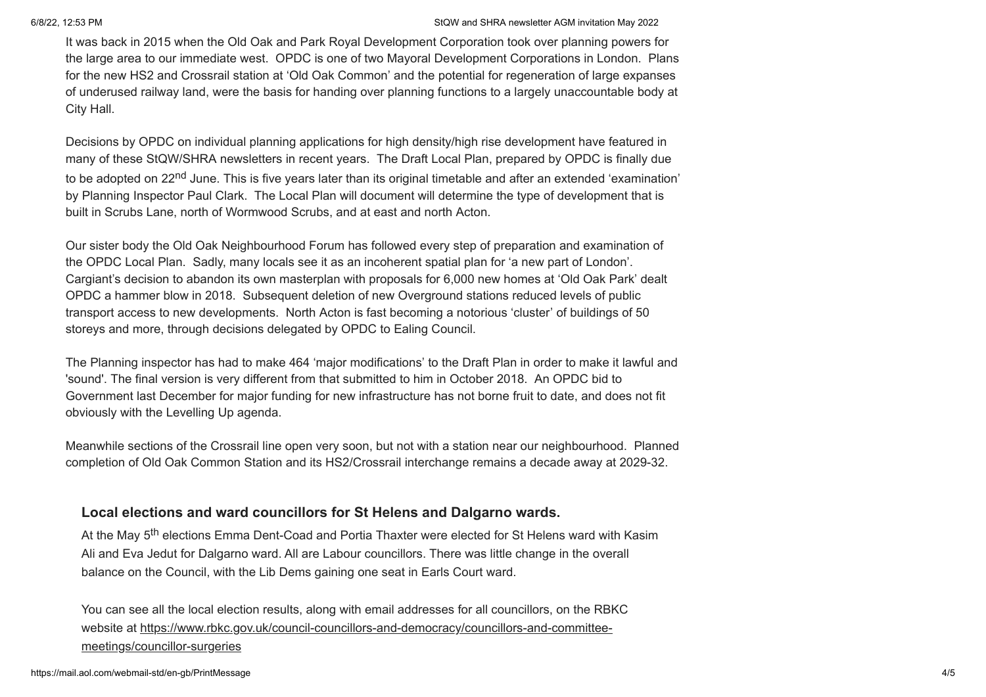#### 6/8/22, 12:53 PM StQW and SHRA newsletter AGM invitation May 2022

It was back in 2015 when the Old Oak and Park Royal Development Corporation took over planning powers for the large area to our immediate west. OPDC is one of two Mayoral Development Corporations in London. Plans for the new HS2 and Crossrail station at 'Old Oak Common' and the potential for regeneration of large expanses of underused railway land, were the basis for handing over planning functions to a largely unaccountable body at City Hall.

Decisions by OPDC on individual planning applications for high density/high rise development have featured in many of these StQW/SHRA newsletters in recent years. The Draft Local Plan, prepared by OPDC is finally due to be adopted on 22<sup>nd</sup> June. This is five years later than its original timetable and after an extended 'examination' by Planning Inspector Paul Clark. The Local Plan will document will determine the type of development that is built in Scrubs Lane, north of Wormwood Scrubs, and at east and north Acton.

Our sister body the Old Oak Neighbourhood Forum has followed every step of preparation and examination of the OPDC Local Plan. Sadly, many locals see it as an incoherent spatial plan for 'a new part of London'. Cargiant's decision to abandon its own masterplan with proposals for 6,000 new homes at 'Old Oak Park' dealt OPDC a hammer blow in 2018. Subsequent deletion of new Overground stations reduced levels of public transport access to new developments. North Acton is fast becoming a notorious 'cluster' of buildings of 50 storeys and more, through decisions delegated by OPDC to Ealing Council.

The Planning inspector has had to make 464 'major modifications' to the Draft Plan in order to make it lawful and 'sound'. The final version is very different from that submitted to him in October 2018. An OPDC bid to Government last December for major funding for new infrastructure has not borne fruit to date, and does not fit obviously with the Levelling Up agenda.

Meanwhile sections of the Crossrail line open very soon, but not with a station near our neighbourhood. Planned completion of Old Oak Common Station and its HS2/Crossrail interchange remains a decade away at 2029-32.

## **Local elections and ward councillors for St Helens and Dalgarno wards.**

At the May 5<sup>th</sup> elections Emma Dent-Coad and Portia Thaxter were elected for St Helens ward with Kasim Ali and Eva Jedut for Dalgarno ward. All are Labour councillors. There was little change in the overall balance on the Council, with the Lib Dems gaining one seat in Earls Court ward.

You can see all the local election results, along with email addresses for all councillors, on the RBKC website at [https://www.rbkc.gov.uk/council-councillors-and-democracy/councillors-and-committee](https://sthelensresidents.us8.list-manage.com/track/click?u=c9b2cf8a83a98f3a41a3651c9&id=37add66ddf&e=e04a104173)meetings/councillor-surgeries